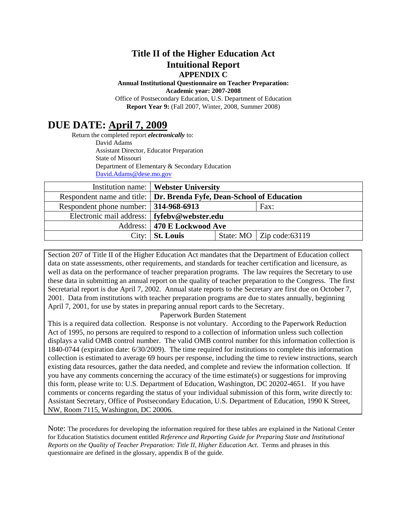### **Title II of the Higher Education Act Intuitional Report APPENDIX C**

**Annual Institutional Questionnaire on Teacher Preparation: Academic year: 2007-2008**

Office of Postsecondary Education, U.S. Department of Education **Report Year 9:** (Fall 2007, Winter, 2008, Summer 2008)

# **DUE DATE: April 7, 2009**

Return the completed report *electronically* to: David Adams Assistant Director, Educator Preparation State of Missouri Department of Elementary & Secondary Education [David.Adams@dese.mo.gov](mailto:David.Adams@dese.mo.gov)

|                                                                        | <b>Institution name:</b>   Webster University |                                   |
|------------------------------------------------------------------------|-----------------------------------------------|-----------------------------------|
| Respondent name and title:   Dr. Brenda Fyfe, Dean-School of Education |                                               |                                   |
| Respondent phone number: 314-968-6913                                  |                                               | Fax:                              |
| Electronic mail address:   fyfebv@webster.edu                          |                                               |                                   |
|                                                                        | Address:   470 E Lockwood Ave                 |                                   |
| City:                                                                  | <b>St. Louis</b>                              | State: MO $\vert$ Zip code: 63119 |

Section 207 of Title II of the Higher Education Act mandates that the Department of Education collect data on state assessments, other requirements, and standards for teacher certification and licensure, as well as data on the performance of teacher preparation programs. The law requires the Secretary to use these data in submitting an annual report on the quality of teacher preparation to the Congress. The first Secretarial report is due April 7, 2002. Annual state reports to the Secretary are first due on October 7, 2001. Data from institutions with teacher preparation programs are due to states annually, beginning April 7, 2001, for use by states in preparing annual report cards to the Secretary.

#### Paperwork Burden Statement

This is a required data collection. Response is not voluntary. According to the Paperwork Reduction Act of 1995, no persons are required to respond to a collection of information unless such collection displays a valid OMB control number. The valid OMB control number for this information collection is 1840-0744 (expiration date: 6/30/2009). The time required for institutions to complete this information collection is estimated to average 69 hours per response, including the time to review instructions, search existing data resources, gather the data needed, and complete and review the information collection. If you have any comments concerning the accuracy of the time estimate(s) or suggestions for improving this form, please write to: U.S. Department of Education, Washington, DC 20202-4651. If you have comments or concerns regarding the status of your individual submission of this form, write directly to: Assistant Secretary, Office of Postsecondary Education, U.S. Department of Education, 1990 K Street, NW, Room 7115, Washington, DC 20006.

Note: The procedures for developing the information required for these tables are explained in the National Center for Education Statistics document entitled *Reference and Reporting Guide for Preparing State and Institutional Reports on the Quality of Teacher Preparation: Title II, Higher Education Act*. Terms and phrases in this questionnaire are defined in the glossary, appendix B of the guide.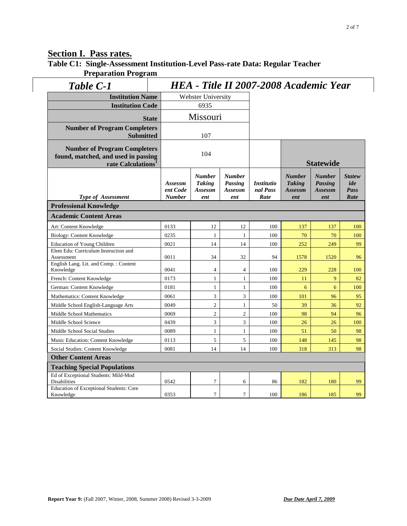### **Section I. Pass rates.**

**Table C1: Single-Assessment Institution-Level Pass-rate Data: Regular Teacher Preparation Program**

| Table C-1                                                                                                    |                                      | HEA - Title II 2007-2008 Academic Year    |                                            |                                       |                                                  |                                                   |                                      |  |
|--------------------------------------------------------------------------------------------------------------|--------------------------------------|-------------------------------------------|--------------------------------------------|---------------------------------------|--------------------------------------------------|---------------------------------------------------|--------------------------------------|--|
| <b>Institution Name</b>                                                                                      |                                      | <b>Webster University</b>                 |                                            |                                       |                                                  |                                                   |                                      |  |
| <b>Institution Code</b>                                                                                      |                                      | 6935                                      |                                            |                                       |                                                  |                                                   |                                      |  |
|                                                                                                              |                                      | Missouri                                  |                                            |                                       |                                                  |                                                   |                                      |  |
|                                                                                                              | <b>State</b>                         |                                           |                                            |                                       |                                                  |                                                   |                                      |  |
| <b>Number of Program Completers</b><br><b>Submitted</b>                                                      |                                      | 107                                       |                                            |                                       |                                                  |                                                   |                                      |  |
| <b>Number of Program Completers</b><br>found, matched, and used in passing<br>rate Calculations <sup>1</sup> |                                      | 104                                       |                                            |                                       | <b>Statewide</b>                                 |                                                   |                                      |  |
| Type of Assessment                                                                                           | Assessm<br>ent Code<br><b>Number</b> | Number<br><b>Taking</b><br>Assessm<br>ent | <b>Number</b><br>Passing<br>Assessm<br>ent | <b>Institutio</b><br>nal Pass<br>Rate | <b>Number</b><br><b>Taking</b><br>Assessm<br>ent | <b>Number</b><br><b>Passing</b><br>Assessm<br>ent | <b>Statew</b><br>ide<br>Pass<br>Rate |  |
| <b>Professional Knowledge</b>                                                                                |                                      |                                           |                                            |                                       |                                                  |                                                   |                                      |  |
| <b>Academic Content Areas</b>                                                                                |                                      |                                           |                                            |                                       |                                                  |                                                   |                                      |  |
| Art: Content Knowledge                                                                                       | 0133                                 | 12                                        | 12                                         | 100                                   | 137                                              | 137                                               | 100                                  |  |
| Biology: Content Knowledge                                                                                   | 0235                                 | $\mathbf{1}$                              | 1                                          | 100                                   | 70                                               | 70                                                | 100                                  |  |
| <b>Education of Young Children</b>                                                                           | 0021                                 | 14                                        | 14                                         | 100                                   | 252                                              | 249                                               | 99                                   |  |
| Elem Edu: Curriculum Instruction and<br>Assessment                                                           | 0011                                 | 34                                        | 32                                         | 94                                    | 1578                                             | 1520                                              | 96                                   |  |
| English Lang. Lit. and Comp.: Content<br>Knowledge                                                           | 0041                                 | $\overline{4}$                            | $\overline{4}$                             | 100                                   | 229                                              | 228                                               | 100                                  |  |
| French: Content Knowledge                                                                                    | 0173                                 | $\mathbf{1}$                              | $\mathbf{1}$                               | $100\,$                               | 11                                               | 9                                                 | 82                                   |  |
| German: Content Knowledge                                                                                    | 0181                                 | $\mathbf{1}$                              | $\mathbf{1}$                               | 100                                   | 6                                                | 6                                                 | 100                                  |  |
| Mathematics: Content Knowledge                                                                               | 0061                                 | $\overline{3}$                            | 3                                          | 100                                   | 101                                              | 96                                                | 95                                   |  |
| Middle School English-Language Arts                                                                          | 0049                                 | $\overline{2}$                            | $\mathbf{1}$                               | 50                                    | 39                                               | 36                                                | 92                                   |  |
| Middle School Mathematics                                                                                    | 0069                                 | $\overline{2}$                            | $\overline{c}$                             | $100\,$                               | 98                                               | 94                                                | 96                                   |  |
| Middle School Science                                                                                        | 0439                                 | $\mathfrak{Z}$                            | 3                                          | 100                                   | 26                                               | 26                                                | 100                                  |  |
| Middle School Social Studies                                                                                 | 0089                                 | $\mathbf{1}$                              | $\mathbf{1}$                               | 100                                   | 51                                               | 50                                                | 98                                   |  |
| Music Education: Content Knowledge                                                                           | 0113                                 | 5                                         | 5                                          | 100                                   | 148                                              | 145                                               | 98                                   |  |
| Social Studies: Content Knowledge                                                                            | 0081                                 | 14                                        | 14                                         | 100                                   | 318                                              | 313                                               | 98                                   |  |
| <b>Other Content Areas</b>                                                                                   |                                      |                                           |                                            |                                       |                                                  |                                                   |                                      |  |
| <b>Teaching Special Populations</b>                                                                          |                                      |                                           |                                            |                                       |                                                  |                                                   |                                      |  |
| Ed of Exceptional Students: Mild-Mod<br><b>Disabilities</b>                                                  | 0542                                 | $\overline{7}$                            | 6                                          | 86                                    | 182                                              | 180                                               | 99                                   |  |
| <b>Education of Exceptional Students: Core</b><br>Knowledge                                                  | 0353                                 | $\tau$                                    | $\overline{7}$                             | 100                                   | 186                                              | 185                                               | 99                                   |  |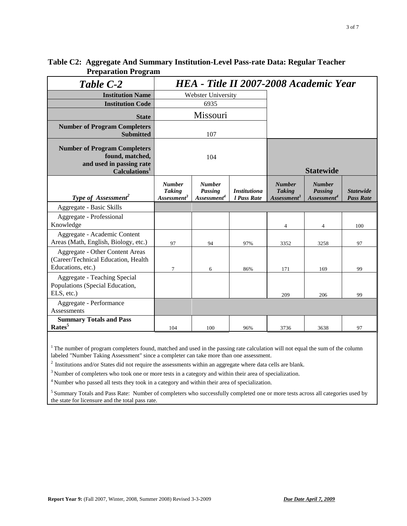| Table C-2                                                                                                       | HEA - Title II 2007-2008 Academic Year                    |                                                     |                                    |                                                           |                                                            |                                      |
|-----------------------------------------------------------------------------------------------------------------|-----------------------------------------------------------|-----------------------------------------------------|------------------------------------|-----------------------------------------------------------|------------------------------------------------------------|--------------------------------------|
| <b>Institution Name</b>                                                                                         |                                                           | Webster University                                  |                                    |                                                           |                                                            |                                      |
| <b>Institution Code</b>                                                                                         |                                                           | 6935                                                |                                    |                                                           |                                                            |                                      |
| <b>State</b>                                                                                                    |                                                           | Missouri                                            |                                    |                                                           |                                                            |                                      |
| <b>Number of Program Completers</b><br><b>Submitted</b>                                                         |                                                           | 107                                                 |                                    |                                                           |                                                            |                                      |
| <b>Number of Program Completers</b><br>found, matched,<br>and used in passing rate<br>Calculations <sup>1</sup> |                                                           | 104                                                 |                                    |                                                           | <b>Statewide</b>                                           |                                      |
| <b>Type of Assessment<sup>2</sup></b>                                                                           | <b>Number</b><br><b>Taking</b><br>Assessment <sup>3</sup> | <b>Number</b><br>Passing<br>Assessment <sup>4</sup> | <b>Institutiona</b><br>l Pass Rate | <b>Number</b><br><b>Taking</b><br>Assessment <sup>3</sup> | <b>Number</b><br><b>Passing</b><br>Assessment <sup>4</sup> | <b>Statewide</b><br><b>Pass Rate</b> |
| Aggregate - Basic Skills                                                                                        |                                                           |                                                     |                                    |                                                           |                                                            |                                      |
| Aggregate - Professional<br>Knowledge                                                                           |                                                           |                                                     |                                    | 4                                                         | 4                                                          | 100                                  |
| Aggregate - Academic Content<br>Areas (Math, English, Biology, etc.)                                            | 97                                                        | 94                                                  | 97%                                | 3352                                                      | 3258                                                       | 97                                   |
| <b>Aggregate - Other Content Areas</b><br>(Career/Technical Education, Health)<br>Educations, etc.)             | $\tau$                                                    | 6                                                   | 86%                                | 171                                                       | 169                                                        | 99                                   |
| Aggregate - Teaching Special<br>Populations (Special Education,<br>ELS, etc.)                                   |                                                           |                                                     |                                    | 209                                                       | 206                                                        | 99                                   |
| Aggregate - Performance<br>Assessments                                                                          |                                                           |                                                     |                                    |                                                           |                                                            |                                      |
| <b>Summary Totals and Pass</b><br>Rates <sup>5</sup>                                                            | 104                                                       | 100                                                 | 96%                                | 3736                                                      | 3638                                                       | 97                                   |

#### **Table C2: Aggregate And Summary Institution-Level Pass-rate Data: Regular Teacher Preparation Program**

<sup>1</sup> The number of program completers found, matched and used in the passing rate calculation will not equal the sum of the column labeled "Number Taking Assessment" since a completer can take more than one assessment.

<sup>2</sup> Institutions and/or States did not require the assessments within an aggregate where data cells are blank.

<sup>3</sup> Number of completers who took one or more tests in a category and within their area of specialization.

4 Number who passed all tests they took in a category and within their area of specialization.

<sup>5</sup> Summary Totals and Pass Rate: Number of completers who successfully completed one or more tests across all categories used by the state for licensure and the total pass rate.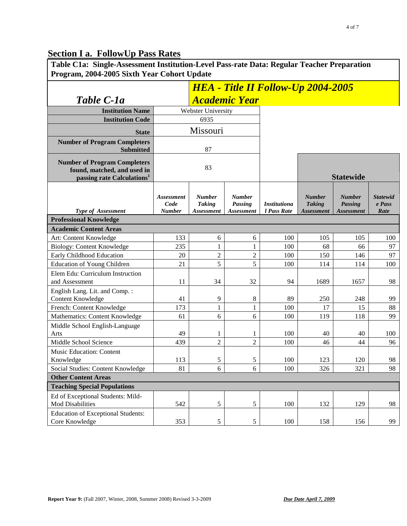# **Section I a. FollowUp Pass Rates**

| Table C1a: Single-Assessment Institution-Level Pass-rate Data: Regular Teacher Preparation<br>Program, 2004-2005 Sixth Year Cohort Update |                                            |                                              |                                               |                                           |                                                     |                                               |                                   |  |
|-------------------------------------------------------------------------------------------------------------------------------------------|--------------------------------------------|----------------------------------------------|-----------------------------------------------|-------------------------------------------|-----------------------------------------------------|-----------------------------------------------|-----------------------------------|--|
|                                                                                                                                           |                                            |                                              |                                               | <b>HEA</b> - Title II Follow-Up 2004-2005 |                                                     |                                               |                                   |  |
| Table C-1a                                                                                                                                |                                            |                                              | <b>Academic Year</b>                          |                                           |                                                     |                                               |                                   |  |
| <b>Institution Name</b>                                                                                                                   |                                            | Webster University                           |                                               |                                           |                                                     |                                               |                                   |  |
| <b>Institution Code</b>                                                                                                                   |                                            | 6935                                         |                                               |                                           |                                                     |                                               |                                   |  |
| <b>State</b>                                                                                                                              |                                            | Missouri                                     |                                               |                                           |                                                     |                                               |                                   |  |
| <b>Number of Program Completers</b><br><b>Submitted</b>                                                                                   |                                            | 87                                           |                                               |                                           |                                                     |                                               |                                   |  |
| <b>Number of Program Completers</b><br>found, matched, and used in<br>passing rate Calculations <sup>1</sup>                              | 83                                         |                                              |                                               |                                           | <b>Statewide</b>                                    |                                               |                                   |  |
| Type of Assessment                                                                                                                        | <b>Assessment</b><br>Code<br><b>Number</b> | <b>Number</b><br><b>Taking</b><br>Assessment | <b>Number</b><br><b>Passing</b><br>Assessment | <b>Institutiona</b><br>l Pass Rate        | <b>Number</b><br><b>Taking</b><br><b>Assessment</b> | <b>Number</b><br><b>Passing</b><br>Assessment | <b>Statewid</b><br>e Pass<br>Rate |  |
| <b>Professional Knowledge</b>                                                                                                             |                                            |                                              |                                               |                                           |                                                     |                                               |                                   |  |
| <b>Academic Content Areas</b>                                                                                                             |                                            |                                              |                                               |                                           |                                                     |                                               |                                   |  |
| Art: Content Knowledge                                                                                                                    | 133                                        | 6                                            | 6                                             | 100                                       | 105                                                 | 105                                           | 100                               |  |
| <b>Biology: Content Knowledge</b>                                                                                                         | 235                                        | 1                                            | 1                                             | 100                                       | 68                                                  | 66                                            | 97                                |  |
| Early Childhood Education                                                                                                                 | 20                                         | $\mathbf{2}$                                 | $\overline{c}$                                | 100                                       | 150                                                 | 146                                           | 97                                |  |
| <b>Education of Young Children</b>                                                                                                        | 21                                         | 5                                            | 5                                             | 100                                       | 114                                                 | 114                                           | 100                               |  |
| Elem Edu: Curriculum Instruction<br>and Assessment                                                                                        | 11                                         | 34                                           | 32                                            | 94                                        | 1689                                                | 1657                                          | 98                                |  |
| English Lang. Lit. and Comp.:<br><b>Content Knowledge</b>                                                                                 | 41                                         | 9                                            | 8                                             | 89                                        | 250                                                 | 248                                           | 99                                |  |
| French: Content Knowledge                                                                                                                 | 173                                        | $\mathbf{1}$                                 | 1                                             | 100                                       | 17                                                  | 15                                            | 88                                |  |
| Mathematics: Content Knowledge                                                                                                            | 61                                         | 6                                            | 6                                             | 100                                       | 119                                                 | 118                                           | 99                                |  |
| Middle School English-Language<br>Arts                                                                                                    | 49                                         | 1                                            | 1                                             | 100                                       | 40                                                  | 40                                            | 100                               |  |
| Middle School Science                                                                                                                     | 439                                        | $\overline{2}$                               | $\overline{2}$                                | 100                                       | 46                                                  | 44                                            | 96                                |  |
| Music Education: Content<br>Knowledge                                                                                                     | 113                                        | 5                                            | 5                                             | 100                                       | 123                                                 | 120                                           | 98                                |  |
| Social Studies: Content Knowledge                                                                                                         | 81                                         | 6                                            | 6                                             | 100                                       | 326                                                 | 321                                           | 98                                |  |
| <b>Other Content Areas</b>                                                                                                                |                                            |                                              |                                               |                                           |                                                     |                                               |                                   |  |
| <b>Teaching Special Populations</b>                                                                                                       |                                            |                                              |                                               |                                           |                                                     |                                               |                                   |  |
| Ed of Exceptional Students: Mild-                                                                                                         |                                            |                                              |                                               |                                           |                                                     |                                               |                                   |  |
| <b>Mod Disabilities</b>                                                                                                                   | 542                                        | $\mathfrak s$                                | 5                                             | 100                                       | 132                                                 | 129                                           | 98                                |  |
| <b>Education of Exceptional Students:</b><br>Core Knowledge                                                                               | 353                                        | 5                                            | 5                                             | 100                                       | 158                                                 | 156                                           | 99                                |  |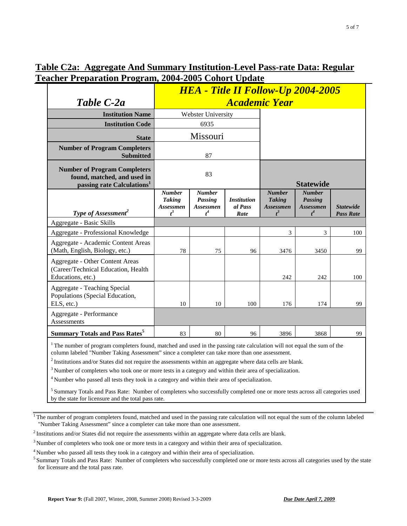## **Table C2a: Aggregate And Summary Institution-Level Pass-rate Data: Regular Teacher Preparation Program, 2004-2005 Cohort Update**

|                                                                                                                                                                                                                                                                                                                                                         | <b>HEA</b> - Title II Follow-Up 2004-2005            |                                                |                                       |                                                             |                                                              |                                      |  |
|---------------------------------------------------------------------------------------------------------------------------------------------------------------------------------------------------------------------------------------------------------------------------------------------------------------------------------------------------------|------------------------------------------------------|------------------------------------------------|---------------------------------------|-------------------------------------------------------------|--------------------------------------------------------------|--------------------------------------|--|
| Table C-2a                                                                                                                                                                                                                                                                                                                                              | <b>Academic Year</b>                                 |                                                |                                       |                                                             |                                                              |                                      |  |
| <b>Institution Name</b>                                                                                                                                                                                                                                                                                                                                 |                                                      | Webster University                             |                                       |                                                             |                                                              |                                      |  |
| <b>Institution Code</b>                                                                                                                                                                                                                                                                                                                                 |                                                      | 6935                                           |                                       |                                                             |                                                              |                                      |  |
| <b>State</b>                                                                                                                                                                                                                                                                                                                                            |                                                      | Missouri                                       |                                       |                                                             |                                                              |                                      |  |
| <b>Number of Program Completers</b><br><b>Submitted</b>                                                                                                                                                                                                                                                                                                 |                                                      | 87                                             |                                       |                                                             |                                                              |                                      |  |
| <b>Number of Program Completers</b><br>found, matched, and used in<br>passing rate Calculations <sup>1</sup>                                                                                                                                                                                                                                            |                                                      | 83                                             |                                       | <b>Statewide</b>                                            |                                                              |                                      |  |
| Type of Assessment <sup>2</sup>                                                                                                                                                                                                                                                                                                                         | <b>Number</b><br><b>Taking</b><br>Assessmen<br>$t^3$ | <b>Number</b><br>Passing<br>Assessmen<br>$t^4$ | <b>Institution</b><br>al Pass<br>Rate | <b>Number</b><br><b>Taking</b><br><b>Assessmen</b><br>$t^3$ | <b>Number</b><br><b>Passing</b><br><b>Assessmen</b><br>$t^4$ | <b>Statewide</b><br><b>Pass Rate</b> |  |
| Aggregate - Basic Skills                                                                                                                                                                                                                                                                                                                                |                                                      |                                                |                                       |                                                             |                                                              |                                      |  |
| Aggregate - Professional Knowledge                                                                                                                                                                                                                                                                                                                      |                                                      |                                                |                                       | 3                                                           | 3                                                            | 100                                  |  |
| Aggregate - Academic Content Areas<br>(Math, English, Biology, etc.)                                                                                                                                                                                                                                                                                    | 78                                                   | 75                                             | 96                                    | 3476                                                        | 3450                                                         | 99                                   |  |
| <b>Aggregate - Other Content Areas</b><br>(Career/Technical Education, Health<br>Educations, etc.)                                                                                                                                                                                                                                                      |                                                      |                                                |                                       | 242                                                         | 242                                                          | 100                                  |  |
| Aggregate - Teaching Special<br>Populations (Special Education,<br>ELS, etc.)                                                                                                                                                                                                                                                                           | 10                                                   | 10                                             | 100                                   | 176                                                         | 174                                                          | 99                                   |  |
| Aggregate - Performance<br>Assessments                                                                                                                                                                                                                                                                                                                  |                                                      |                                                |                                       |                                                             |                                                              |                                      |  |
| <b>Summary Totals and Pass Rates<sup>5</sup></b>                                                                                                                                                                                                                                                                                                        | 83                                                   | 80                                             | 96                                    | 3896                                                        | 3868                                                         | 99                                   |  |
| <sup>1</sup> The number of program completers found, matched and used in the passing rate calculation will not equal the sum of the<br>column labeled "Number Taking Assessment" since a completer can take more than one assessment.<br>$2$ Institutions and/or States did not require the assessments within an aggregate where data cells are blank. |                                                      |                                                |                                       |                                                             |                                                              |                                      |  |
| $3$ Number of completers who took one or more tests in a category and within their area of specialization.                                                                                                                                                                                                                                              |                                                      |                                                |                                       |                                                             |                                                              |                                      |  |
| $4$ Number who passed all tests they took in a category and within their area of specialization.                                                                                                                                                                                                                                                        |                                                      |                                                |                                       |                                                             |                                                              |                                      |  |
| <sup>5</sup> Summary Totals and Pass Rate: Number of completers who successfully completed one or more tests across all categories used                                                                                                                                                                                                                 |                                                      |                                                |                                       |                                                             |                                                              |                                      |  |

by the state for licensure and the total pass rate.

<sup>1</sup> The number of program completers found, matched and used in the passing rate calculation will not equal the sum of the column labeled "Number Taking Assessment" since a completer can take more than one assessment.

<sup>2</sup> Institutions and/or States did not require the assessments within an aggregate where data cells are blank.

<sup>3</sup> Number of completers who took one or more tests in a category and within their area of specialization.

 $<sup>4</sup>$  Number who passed all tests they took in a category and within their area of specialization.<br><sup>5</sup> Summary Totals and Pass Rate: Number of completers who successfully completed one or more tests across all categor</sup> for licensure and the total pass rate.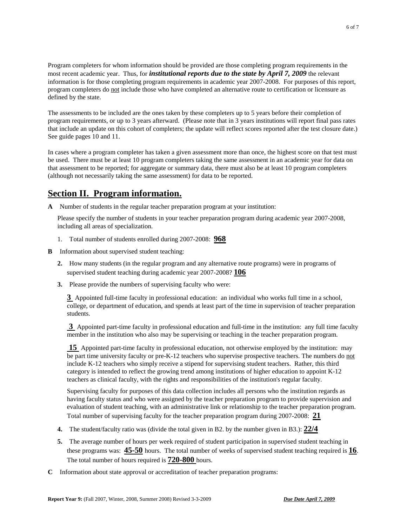Program completers for whom information should be provided are those completing program requirements in the most recent academic year. Thus, for *institutional reports due to the state by April 7, 2009* the relevant information is for those completing program requirements in academic year 2007-2008. For purposes of this report, program completers do not include those who have completed an alternative route to certification or licensure as defined by the state.

The assessments to be included are the ones taken by these completers up to 5 years before their completion of program requirements, or up to 3 years afterward. (Please note that in 3 years institutions will report final pass rates that include an update on this cohort of completers; the update will reflect scores reported after the test closure date.) See guide pages 10 and 11.

In cases where a program completer has taken a given assessment more than once, the highest score on that test must be used. There must be at least 10 program completers taking the same assessment in an academic year for data on that assessment to be reported; for aggregate or summary data, there must also be at least 10 program completers (although not necessarily taking the same assessment) for data to be reported.

# **Section II. Program information.**

**A** Number of students in the regular teacher preparation program at your institution:

Please specify the number of students in your teacher preparation program during academic year 2007-2008, including all areas of specialization.

- 1. Total number of students enrolled during 2007-2008: **968**
- **B** Information about supervised student teaching:
	- **2.** How many students (in the regular program and any alternative route programs) were in programs of supervised student teaching during academic year 2007-2008? **106**
	- **3.** Please provide the numbers of supervising faculty who were:

**3** Appointed full-time faculty in professional education: an individual who works full time in a school, college, or department of education, and spends at least part of the time in supervision of teacher preparation students.

**3** Appointed part-time faculty in professional education and full-time in the institution: any full time faculty member in the institution who also may be supervising or teaching in the teacher preparation program.

**15** Appointed part-time faculty in professional education, not otherwise employed by the institution: may be part time university faculty or pre-K-12 teachers who supervise prospective teachers. The numbers do not include K-12 teachers who simply receive a stipend for supervising student teachers. Rather, this third category is intended to reflect the growing trend among institutions of higher education to appoint K-12 teachers as clinical faculty, with the rights and responsibilities of the institution's regular faculty.

Supervising faculty for purposes of this data collection includes all persons who the institution regards as having faculty status and who were assigned by the teacher preparation program to provide supervision and evaluation of student teaching, with an administrative link or relationship to the teacher preparation program. Total number of supervising faculty for the teacher preparation program during 2007-2008: **21**

- **4.** The student/faculty ratio was (divide the total given in B2. by the number given in B3.): **22/4**
- **5.** The average number of hours per week required of student participation in supervised student teaching in these programs was: **45-50** hours. The total number of weeks of supervised student teaching required is **16**. The total number of hours required is **720-800** hours.
- **C** Information about state approval or accreditation of teacher preparation programs: